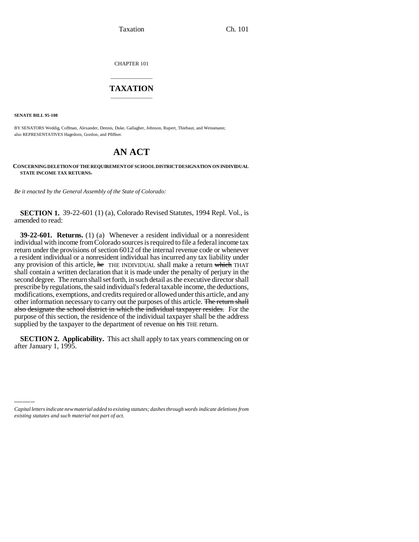Taxation Ch. 101

CHAPTER 101

## \_\_\_\_\_\_\_\_\_\_\_\_\_\_\_ **TAXATION** \_\_\_\_\_\_\_\_\_\_\_\_\_\_\_

**SENATE BILL 95-108**

BY SENATORS Weddig, Coffman, Alexander, Dennis, Duke, Gallagher, Johnson, Rupert, Thiebaut, and Weissmann; also REPRESENTATIVES Hagedorn, Gordon, and Pfiffner.

## **AN ACT**

## **CONCERNING DELETION OF THE REQUIREMENT OF SCHOOL DISTRICT DESIGNATION ON INDIVIDUAL STATE INCOME TAX RETURNS.**

*Be it enacted by the General Assembly of the State of Colorado:*

**SECTION 1.** 39-22-601 (1) (a), Colorado Revised Statutes, 1994 Repl. Vol., is amended to read:

**39-22-601. Returns.** (1) (a) Whenever a resident individual or a nonresident individual with income from Colorado sources is required to file a federal income tax return under the provisions of section 6012 of the internal revenue code or whenever a resident individual or a nonresident individual has incurred any tax liability under any provision of this article, he THE INDIVIDUAL shall make a return which THAT shall contain a written declaration that it is made under the penalty of perjury in the second degree. The return shall set forth, in such detail as the executive director shall prescribe by regulations, the said individual's federal taxable income, the deductions, modifications, exemptions, and credits required or allowed under this article, and any other information necessary to carry out the purposes of this article. The return shall also designate the school district in which the individual taxpayer resides. For the purpose of this section, the residence of the individual taxpayer shall be the address supplied by the taxpayer to the department of revenue on his THE return.

after January 1, 1995.**SECTION 2. Applicability.** This act shall apply to tax years commencing on or

*Capital letters indicate new material added to existing statutes; dashes through words indicate deletions from existing statutes and such material not part of act.*